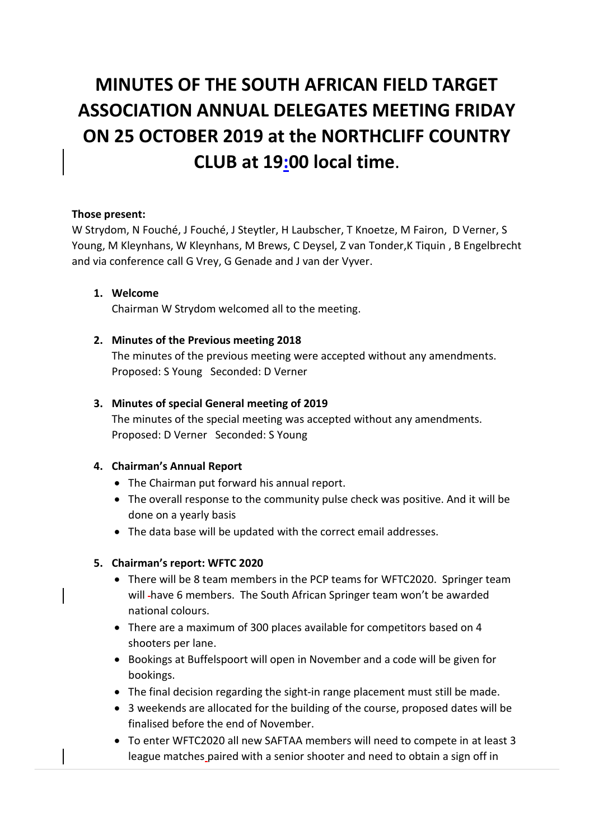# **MINUTES OF THE SOUTH AFRICAN FIELD TARGET ASSOCIATION ANNUAL DELEGATES MEETING FRIDAY ON 25 OCTOBER 2019 at the NORTHCLIFF COUNTRY CLUB at 19:00 local time**.

#### **Those present:**

W Strydom, N Fouché, J Fouché, J Steytler, H Laubscher, T Knoetze, M Fairon, D Verner, S Young, M Kleynhans, W Kleynhans, M Brews, C Deysel, Z van Tonder,K Tiquin , B Engelbrecht and via conference call G Vrey, G Genade and J van der Vyver.

#### **1. Welcome**

Chairman W Strydom welcomed all to the meeting.

#### **2. Minutes of the Previous meeting 2018**

The minutes of the previous meeting were accepted without any amendments. Proposed: S Young Seconded: D Verner

#### **3. Minutes of special General meeting of 2019**

The minutes of the special meeting was accepted without any amendments. Proposed: D Verner Seconded: S Young

#### **4. Chairman's Annual Report**

- The Chairman put forward his annual report.
- The overall response to the community pulse check was positive. And it will be done on a yearly basis
- The data base will be updated with the correct email addresses.

## **5. Chairman's report: WFTC 2020**

- There will be 8 team members in the PCP teams for WFTC2020. Springer team will have 6 members. The South African Springer team won't be awarded national colours.
- There are a maximum of 300 places available for competitors based on 4 shooters per lane.
- Bookings at Buffelspoort will open in November and a code will be given for bookings.
- The final decision regarding the sight-in range placement must still be made.
- 3 weekends are allocated for the building of the course, proposed dates will be finalised before the end of November.
- To enter WFTC2020 all new SAFTAA members will need to compete in at least 3 league matches paired with a senior shooter and need to obtain a sign off in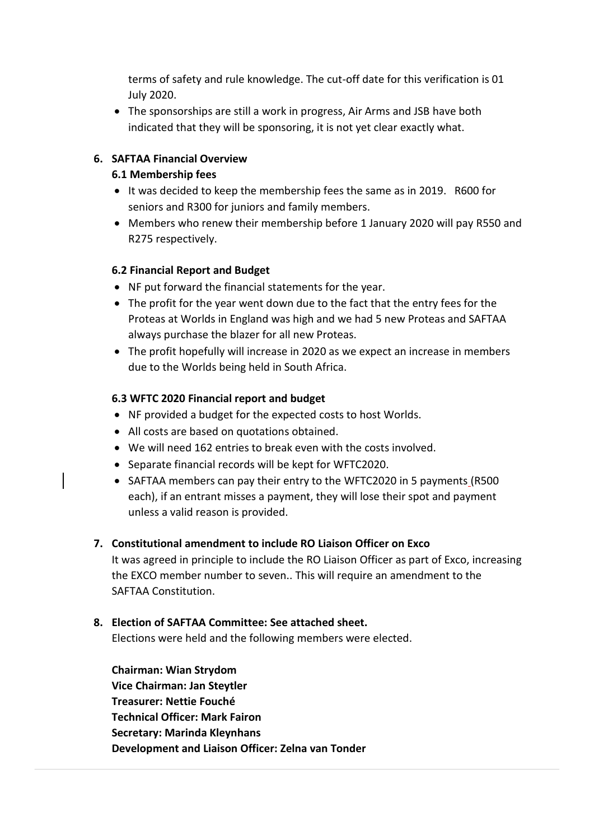terms of safety and rule knowledge. The cut-off date for this verification is 01 July 2020.

 The sponsorships are still a work in progress, Air Arms and JSB have both indicated that they will be sponsoring, it is not yet clear exactly what.

# **6. SAFTAA Financial Overview**

# **6.1 Membership fees**

- It was decided to keep the membership fees the same as in 2019. R600 for seniors and R300 for juniors and family members.
- Members who renew their membership before 1 January 2020 will pay R550 and R275 respectively.

## **6.2 Financial Report and Budget**

- NF put forward the financial statements for the year.
- The profit for the year went down due to the fact that the entry fees for the Proteas at Worlds in England was high and we had 5 new Proteas and SAFTAA always purchase the blazer for all new Proteas.
- The profit hopefully will increase in 2020 as we expect an increase in members due to the Worlds being held in South Africa.

# **6.3 WFTC 2020 Financial report and budget**

- NF provided a budget for the expected costs to host Worlds.
- All costs are based on quotations obtained.
- We will need 162 entries to break even with the costs involved.
- Separate financial records will be kept for WFTC2020.
- SAFTAA members can pay their entry to the WFTC2020 in 5 payments (R500) each), if an entrant misses a payment, they will lose their spot and payment unless a valid reason is provided.

## **7. Constitutional amendment to include RO Liaison Officer on Exco**

It was agreed in principle to include the RO Liaison Officer as part of Exco, increasing the EXCO member number to seven.. This will require an amendment to the SAFTAA Constitution.

## **8. Election of SAFTAA Committee: See attached sheet.**

Elections were held and the following members were elected.

**Chairman: Wian Strydom Vice Chairman: Jan Steytler Treasurer: Nettie Fouché Technical Officer: Mark Fairon Secretary: Marinda Kleynhans Development and Liaison Officer: Zelna van Tonder**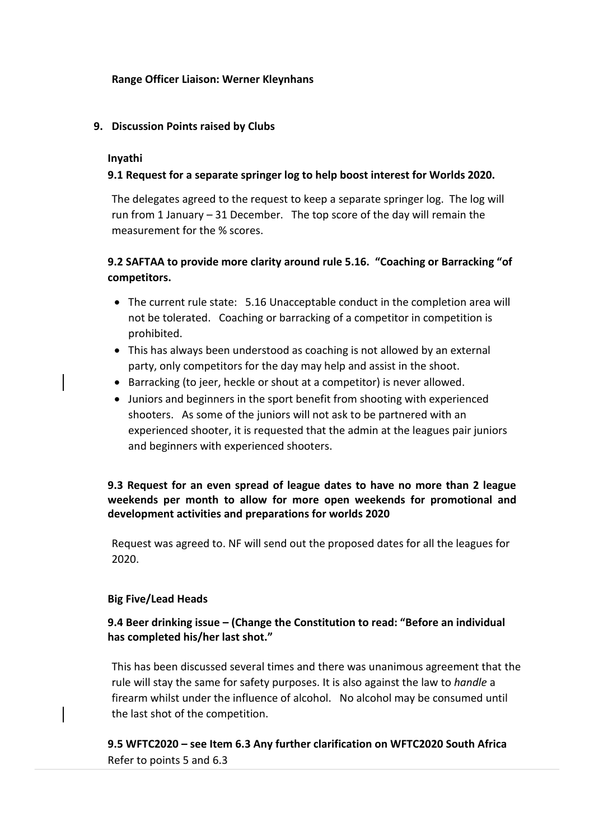#### **Range Officer Liaison: Werner Kleynhans**

#### **9. Discussion Points raised by Clubs**

#### **Inyathi**

## **9.1 Request for a separate springer log to help boost interest for Worlds 2020.**

The delegates agreed to the request to keep a separate springer log. The log will run from 1 January – 31 December. The top score of the day will remain the measurement for the % scores.

# **9.2 SAFTAA to provide more clarity around rule 5.16. "Coaching or Barracking "of competitors.**

- The current rule state: 5.16 Unacceptable conduct in the completion area will not be tolerated. Coaching or barracking of a competitor in competition is prohibited.
- This has always been understood as coaching is not allowed by an external party, only competitors for the day may help and assist in the shoot.
- Barracking (to jeer, heckle or shout at a competitor) is never allowed.
- Juniors and beginners in the sport benefit from shooting with experienced shooters. As some of the juniors will not ask to be partnered with an experienced shooter, it is requested that the admin at the leagues pair juniors and beginners with experienced shooters.

# **9.3 Request for an even spread of league dates to have no more than 2 league weekends per month to allow for more open weekends for promotional and development activities and preparations for worlds 2020**

Request was agreed to. NF will send out the proposed dates for all the leagues for 2020.

#### **Big Five/Lead Heads**

## **9.4 Beer drinking issue – (Change the Constitution to read: "Before an individual has completed his/her last shot."**

This has been discussed several times and there was unanimous agreement that the rule will stay the same for safety purposes. It is also against the law to *handle* a firearm whilst under the influence of alcohol. No alcohol may be consumed until the last shot of the competition.

## **9.5 WFTC2020 – see Item 6.3 Any further clarification on WFTC2020 South Africa**  Refer to points 5 and 6.3